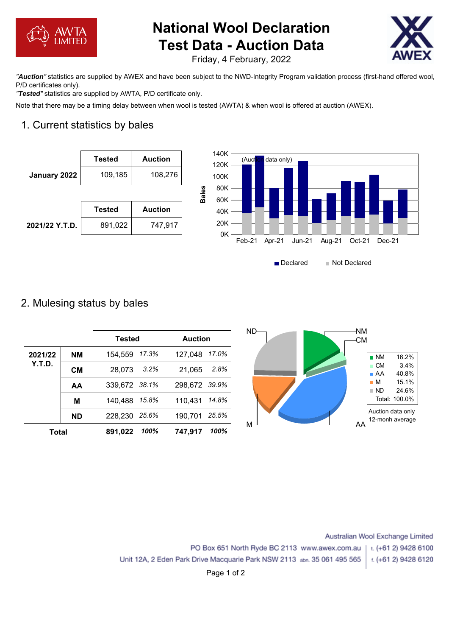

# **National Wool Declaration Test Data - Auction Data**



Friday, 4 February, 2022

*"Auction"* statistics are supplied by AWEX and have been subject to the NWD-Integrity Program validation process (first-hand offered wool, P/D certificates only).

*"Tested"* statistics are supplied by AWTA, P/D certificate only.

Note that there may be a timing delay between when wool is tested (AWTA) & when wool is offered at auction (AWEX).

# 1. Current statistics by bales





### 2. Mulesing status by bales

|              |           | <b>Tested</b>   | <b>Auction</b>   | $ND-$<br>-NM<br>-CM                                     |
|--------------|-----------|-----------------|------------------|---------------------------------------------------------|
| 2021/22      | <b>NM</b> | 154,559 17.3%   | 127,048 17.0%    | 16.2%<br>$\blacksquare$ NM                              |
| Y.T.D.       | <b>CM</b> | 3.2%<br>28,073  | 2.8%<br>21,065   | $\blacksquare$ CM<br>3.4%<br>40.8%<br>$\blacksquare$ AA |
|              | AA        | 339,672 38.1%   | 298,672 39.9%    | 15.1%<br>$\blacksquare$ M<br>24.6%<br>$\blacksquare$ ND |
|              | M         | 140,488 15.8%   | 14.8%<br>110,431 | Total: 100.0%                                           |
|              | <b>ND</b> | 228,230 25.6%   | 25.5%<br>190,701 | Auction data only<br>12-monh average                    |
| <b>Total</b> |           | 100%<br>891,022 | 100%<br>747,917  | M–<br>-AΑ                                               |

Australian Wool Exchange Limited PO Box 651 North Ryde BC 2113 www.awex.com.au t. (+61 2) 9428 6100 Unit 12A, 2 Eden Park Drive Macquarie Park NSW 2113 abn. 35 061 495 565 t. (+61 2) 9428 6120

Page 1 of 2